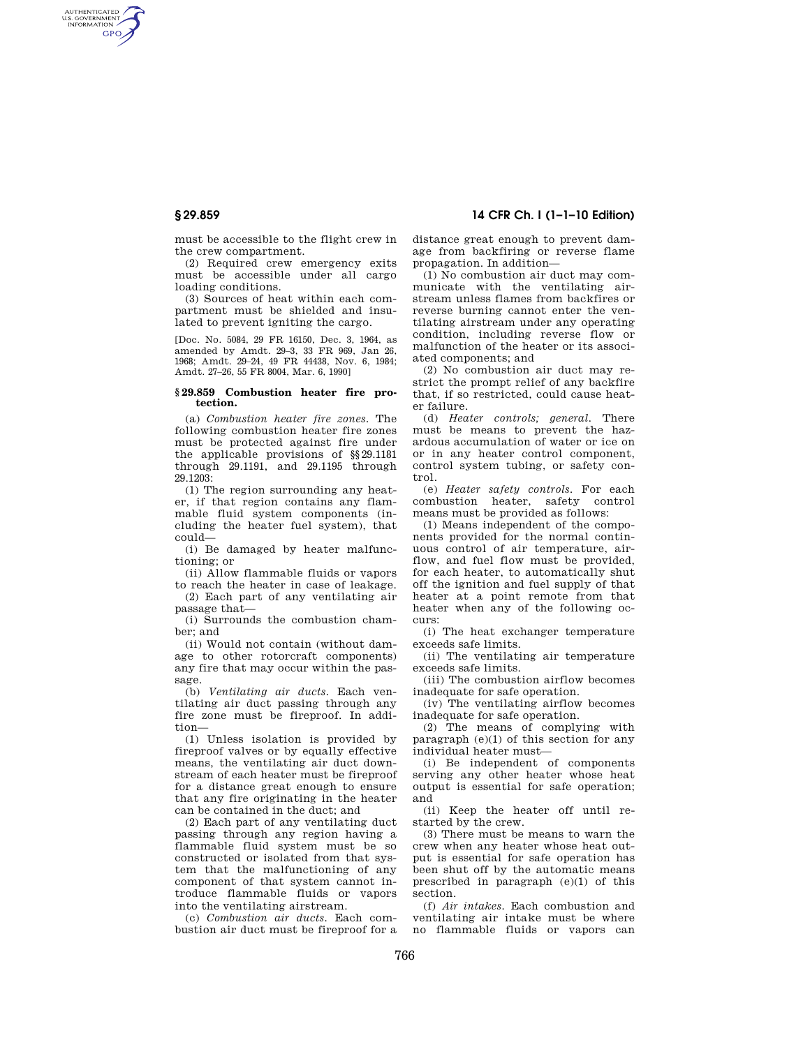AUTHENTICATED<br>U.S. GOVERNMENT<br>INFORMATION **GPO** 

**§ 29.859 14 CFR Ch. I (1–1–10 Edition)** 

must be accessible to the flight crew in the crew compartment.

(2) Required crew emergency exits must be accessible under all cargo loading conditions.

(3) Sources of heat within each compartment must be shielded and insulated to prevent igniting the cargo.

[Doc. No. 5084, 29 FR 16150, Dec. 3, 1964, as amended by Amdt. 29–3, 33 FR 969, Jan 26, 1968; Amdt. 29–24, 49 FR 44438, Nov. 6, 1984; Amdt. 27–26, 55 FR 8004, Mar. 6, 1990]

#### **§ 29.859 Combustion heater fire protection.**

(a) *Combustion heater fire zones.* The following combustion heater fire zones must be protected against fire under the applicable provisions of §§29.1181 through 29.1191, and 29.1195 through 29.1203:

(1) The region surrounding any heater, if that region contains any flammable fluid system components (including the heater fuel system), that could—

(i) Be damaged by heater malfunctioning; or

(ii) Allow flammable fluids or vapors to reach the heater in case of leakage.

(2) Each part of any ventilating air passage that—

(i) Surrounds the combustion chamber; and

(ii) Would not contain (without damage to other rotorcraft components) any fire that may occur within the passage.

(b) *Ventilating air ducts.* Each ventilating air duct passing through any fire zone must be fireproof. In addition—

(1) Unless isolation is provided by fireproof valves or by equally effective means, the ventilating air duct downstream of each heater must be fireproof for a distance great enough to ensure that any fire originating in the heater can be contained in the duct; and

(2) Each part of any ventilating duct passing through any region having a flammable fluid system must be so constructed or isolated from that system that the malfunctioning of any component of that system cannot introduce flammable fluids or vapors into the ventilating airstream.

(c) *Combustion air ducts.* Each combustion air duct must be fireproof for a distance great enough to prevent damage from backfiring or reverse flame propagation. In addition—

(1) No combustion air duct may communicate with the ventilating airstream unless flames from backfires or reverse burning cannot enter the ventilating airstream under any operating condition, including reverse flow or malfunction of the heater or its associated components; and

(2) No combustion air duct may restrict the prompt relief of any backfire that, if so restricted, could cause heater failure.

(d) *Heater controls; general.* There must be means to prevent the hazardous accumulation of water or ice on or in any heater control component, control system tubing, or safety control.

(e) *Heater safety controls.* For each combustion heater, safety control means must be provided as follows:

(1) Means independent of the components provided for the normal continuous control of air temperature, airflow, and fuel flow must be provided, for each heater, to automatically shut off the ignition and fuel supply of that heater at a point remote from that heater when any of the following occurs:

(i) The heat exchanger temperature exceeds safe limits.

(ii) The ventilating air temperature exceeds safe limits.

(iii) The combustion airflow becomes inadequate for safe operation.

(iv) The ventilating airflow becomes inadequate for safe operation.

(2) The means of complying with paragraph  $(e)(1)$  of this section for any individual heater must—

(i) Be independent of components serving any other heater whose heat output is essential for safe operation; and

(ii) Keep the heater off until restarted by the crew.

(3) There must be means to warn the crew when any heater whose heat output is essential for safe operation has been shut off by the automatic means prescribed in paragraph (e)(1) of this section.

(f) *Air intakes.* Each combustion and ventilating air intake must be where no flammable fluids or vapors can